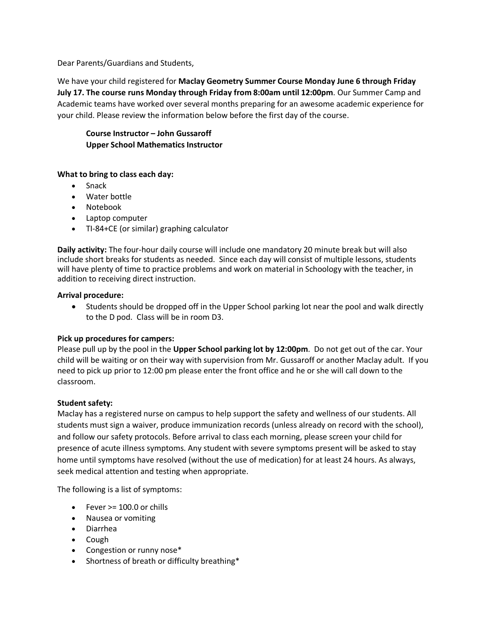Dear Parents/Guardians and Students,

We have your child registered for **Maclay Geometry Summer Course Monday June 6 through Friday July 17. The course runs Monday through Friday from 8:00am until 12:00pm**. Our Summer Camp and Academic teams have worked over several months preparing for an awesome academic experience for your child. Please review the information below before the first day of the course.

**Course Instructor – John Gussaroff Upper School Mathematics Instructor**

## **What to bring to class each day:**

- **Snack**
- Water bottle
- Notebook
- Laptop computer
- TI-84+CE (or similar) graphing calculator

**Daily activity:** The four-hour daily course will include one mandatory 20 minute break but will also include short breaks for students as needed. Since each day will consist of multiple lessons, students will have plenty of time to practice problems and work on material in Schoology with the teacher, in addition to receiving direct instruction.

## **Arrival procedure:**

• Students should be dropped off in the Upper School parking lot near the pool and walk directly to the D pod. Class will be in room D3.

## **Pick up procedures for campers:**

Please pull up by the pool in the **Upper School parking lot by 12:00pm**. Do not get out of the car. Your child will be waiting or on their way with supervision from Mr. Gussaroff or another Maclay adult. If you need to pick up prior to 12:00 pm please enter the front office and he or she will call down to the classroom.

## **Student safety:**

Maclay has a registered nurse on campus to help support the safety and wellness of our students. All students must sign a waiver, produce immunization records (unless already on record with the school), and follow our safety protocols. Before arrival to class each morning, please screen your child for presence of acute illness symptoms. Any student with severe symptoms present will be asked to stay home until symptoms have resolved (without the use of medication) for at least 24 hours. As always, seek medical attention and testing when appropriate.

The following is a list of symptoms:

- $\bullet$  Fever  $\ge$  100.0 or chills
- Nausea or vomiting
- Diarrhea
- Cough
- Congestion or runny nose\*
- Shortness of breath or difficulty breathing\*